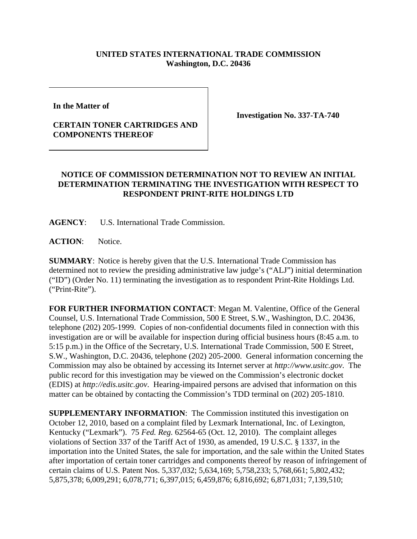## **UNITED STATES INTERNATIONAL TRADE COMMISSION Washington, D.C. 20436**

**In the Matter of** 

## **CERTAIN TONER CARTRIDGES AND COMPONENTS THEREOF**

**Investigation No. 337-TA-740**

## **NOTICE OF COMMISSION DETERMINATION NOT TO REVIEW AN INITIAL DETERMINATION TERMINATING THE INVESTIGATION WITH RESPECT TO RESPONDENT PRINT-RITE HOLDINGS LTD**

**AGENCY**: U.S. International Trade Commission.

ACTION: Notice.

**SUMMARY**: Notice is hereby given that the U.S. International Trade Commission has determined not to review the presiding administrative law judge's ("ALJ") initial determination ("ID") (Order No. 11) terminating the investigation as to respondent Print-Rite Holdings Ltd. ("Print-Rite").

**FOR FURTHER INFORMATION CONTACT**: Megan M. Valentine, Office of the General Counsel, U.S. International Trade Commission, 500 E Street, S.W., Washington, D.C. 20436, telephone (202) 205-1999. Copies of non-confidential documents filed in connection with this investigation are or will be available for inspection during official business hours (8:45 a.m. to 5:15 p.m.) in the Office of the Secretary, U.S. International Trade Commission, 500 E Street, S.W., Washington, D.C. 20436, telephone (202) 205-2000. General information concerning the Commission may also be obtained by accessing its Internet server at *http://www.usitc.gov*. The public record for this investigation may be viewed on the Commission's electronic docket (EDIS) at *http://edis.usitc.gov*. Hearing-impaired persons are advised that information on this matter can be obtained by contacting the Commission's TDD terminal on (202) 205-1810.

**SUPPLEMENTARY INFORMATION:** The Commission instituted this investigation on October 12, 2010, based on a complaint filed by Lexmark International, Inc. of Lexington, Kentucky ("Lexmark"). 75 *Fed. Reg.* 62564-65 (Oct. 12, 2010). The complaint alleges violations of Section 337 of the Tariff Act of 1930, as amended, 19 U.S.C. § 1337, in the importation into the United States, the sale for importation, and the sale within the United States after importation of certain toner cartridges and components thereof by reason of infringement of certain claims of U.S. Patent Nos. 5,337,032; 5,634,169; 5,758,233; 5,768,661; 5,802,432; 5,875,378; 6,009,291; 6,078,771; 6,397,015; 6,459,876; 6,816,692; 6,871,031; 7,139,510;